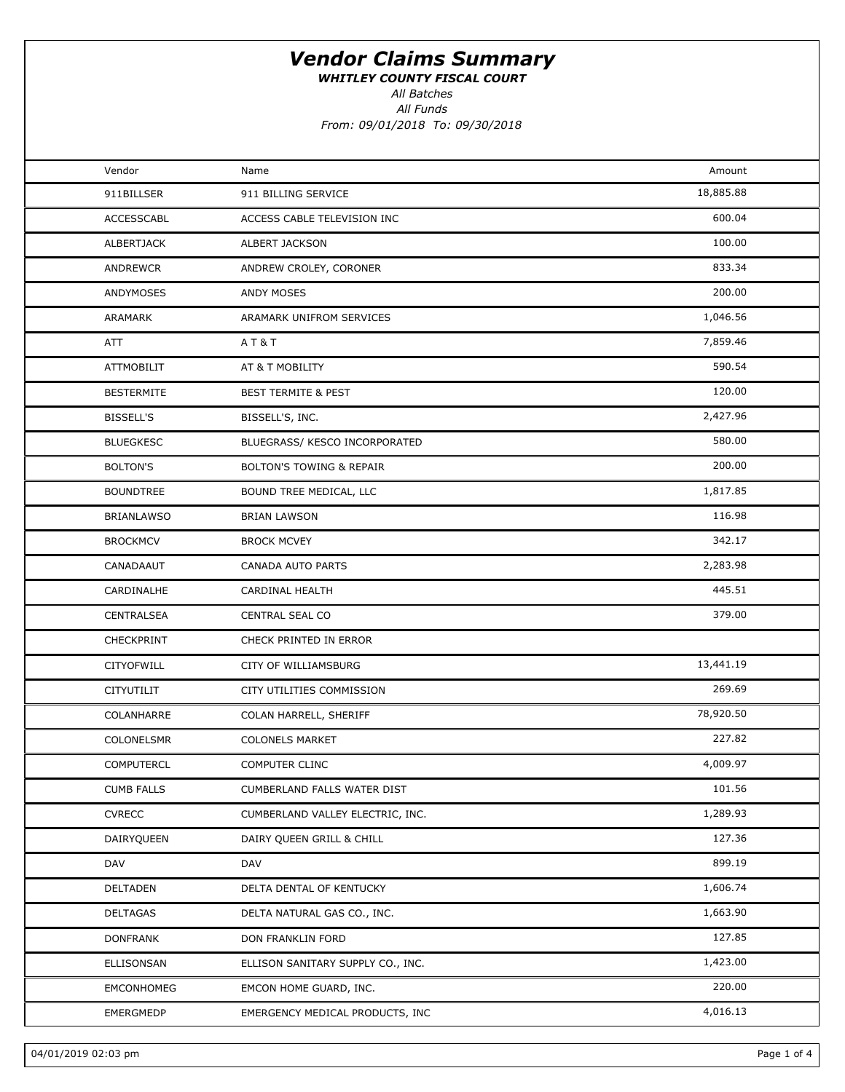WHITLEY COUNTY FISCAL COURT

All Batches

All Funds

From: 09/01/2018 To: 09/30/2018

| Vendor<br>Name<br>911 BILLING SERVICE<br>911BILLSER<br><b>ACCESSCABL</b><br>ACCESS CABLE TELEVISION INC<br>ALBERTJACK<br>ALBERT JACKSON<br>ANDREWCR<br>ANDREW CROLEY, CORONER<br>ANDYMOSES<br>ANDY MOSES | Amount<br>18,885.88<br>600.04<br>100.00<br>833.34<br>200.00<br>1,046.56 |  |
|----------------------------------------------------------------------------------------------------------------------------------------------------------------------------------------------------------|-------------------------------------------------------------------------|--|
|                                                                                                                                                                                                          |                                                                         |  |
|                                                                                                                                                                                                          |                                                                         |  |
|                                                                                                                                                                                                          |                                                                         |  |
|                                                                                                                                                                                                          |                                                                         |  |
|                                                                                                                                                                                                          |                                                                         |  |
|                                                                                                                                                                                                          |                                                                         |  |
| ARAMARK UNIFROM SERVICES<br>ARAMARK                                                                                                                                                                      |                                                                         |  |
| ATT<br>AT&T                                                                                                                                                                                              | 7,859.46                                                                |  |
| <b>ATTMOBILIT</b><br>AT & T MOBILITY                                                                                                                                                                     | 590.54                                                                  |  |
| <b>BESTERMITE</b><br><b>BEST TERMITE &amp; PEST</b>                                                                                                                                                      | 120.00                                                                  |  |
| <b>BISSELL'S</b><br>BISSELL'S, INC.                                                                                                                                                                      | 2,427.96                                                                |  |
| <b>BLUEGKESC</b><br>BLUEGRASS/ KESCO INCORPORATED                                                                                                                                                        | 580.00                                                                  |  |
| <b>BOLTON'S</b><br><b>BOLTON'S TOWING &amp; REPAIR</b>                                                                                                                                                   | 200.00                                                                  |  |
| <b>BOUNDTREE</b><br>BOUND TREE MEDICAL, LLC                                                                                                                                                              | 1,817.85                                                                |  |
| <b>BRIANLAWSO</b><br><b>BRIAN LAWSON</b>                                                                                                                                                                 | 116.98                                                                  |  |
| <b>BROCKMCV</b><br><b>BROCK MCVEY</b>                                                                                                                                                                    | 342.17                                                                  |  |
| CANADAAUT<br>CANADA AUTO PARTS                                                                                                                                                                           | 2,283.98                                                                |  |
| CARDINALHE<br>CARDINAL HEALTH                                                                                                                                                                            | 445.51                                                                  |  |
| CENTRAL SEAL CO<br>CENTRALSEA                                                                                                                                                                            | 379.00                                                                  |  |
| <b>CHECKPRINT</b><br>CHECK PRINTED IN ERROR                                                                                                                                                              |                                                                         |  |
| CITYOFWILL<br>CITY OF WILLIAMSBURG                                                                                                                                                                       | 13,441.19                                                               |  |
| CITYUTILIT<br>CITY UTILITIES COMMISSION                                                                                                                                                                  | 269.69                                                                  |  |
| COLANHARRE<br>COLAN HARRELL, SHERIFF                                                                                                                                                                     | 78,920.50                                                               |  |
| COLONELSMR<br><b>COLONELS MARKET</b>                                                                                                                                                                     | 227.82                                                                  |  |
| <b>COMPUTERCL</b><br><b>COMPUTER CLINC</b>                                                                                                                                                               | 4,009.97                                                                |  |
| <b>CUMB FALLS</b><br>CUMBERLAND FALLS WATER DIST                                                                                                                                                         | 101.56                                                                  |  |
| <b>CVRECC</b><br>CUMBERLAND VALLEY ELECTRIC, INC.                                                                                                                                                        | 1,289.93                                                                |  |
| DAIRYQUEEN<br>DAIRY QUEEN GRILL & CHILL                                                                                                                                                                  | 127.36                                                                  |  |
| DAV<br>DAV                                                                                                                                                                                               | 899.19                                                                  |  |
| DELTADEN<br>DELTA DENTAL OF KENTUCKY                                                                                                                                                                     | 1,606.74                                                                |  |
| DELTAGAS<br>DELTA NATURAL GAS CO., INC.                                                                                                                                                                  | 1,663.90                                                                |  |
| <b>DONFRANK</b><br>DON FRANKLIN FORD                                                                                                                                                                     | 127.85                                                                  |  |
| ELLISONSAN<br>ELLISON SANITARY SUPPLY CO., INC.                                                                                                                                                          | 1,423.00                                                                |  |
| EMCONHOMEG<br>EMCON HOME GUARD, INC.                                                                                                                                                                     | 220.00                                                                  |  |
| EMERGMEDP<br>EMERGENCY MEDICAL PRODUCTS, INC                                                                                                                                                             | 4,016.13                                                                |  |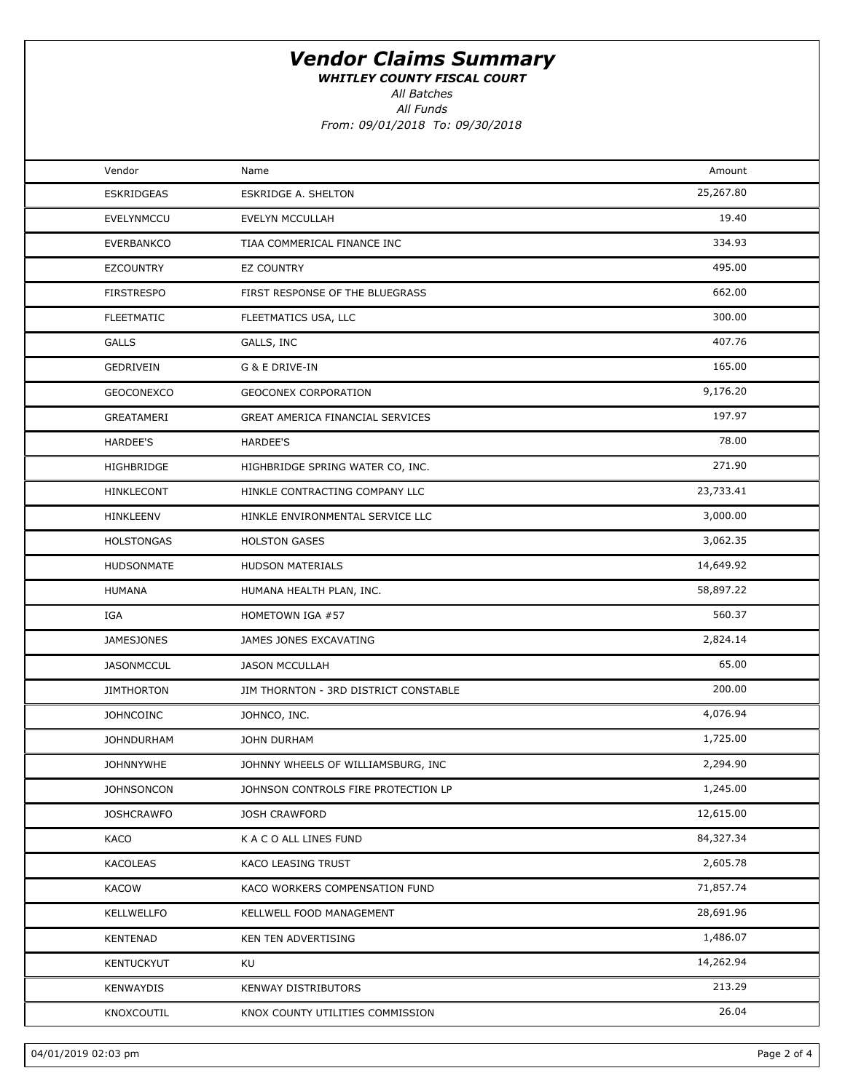WHITLEY COUNTY FISCAL COURT

All Batches

All Funds

From: 09/01/2018 To: 09/30/2018

| Vendor            | Name                                  | Amount    |  |
|-------------------|---------------------------------------|-----------|--|
| <b>ESKRIDGEAS</b> | <b>ESKRIDGE A. SHELTON</b>            | 25,267.80 |  |
| EVELYNMCCU        | EVELYN MCCULLAH                       | 19.40     |  |
| EVERBANKCO        | TIAA COMMERICAL FINANCE INC           | 334.93    |  |
| EZCOUNTRY         | <b>EZ COUNTRY</b>                     | 495.00    |  |
| <b>FIRSTRESPO</b> | FIRST RESPONSE OF THE BLUEGRASS       | 662.00    |  |
| <b>FLEETMATIC</b> | FLEETMATICS USA, LLC                  | 300.00    |  |
| <b>GALLS</b>      | GALLS, INC                            | 407.76    |  |
| GEDRIVEIN         | G & E DRIVE-IN                        | 165.00    |  |
| GEOCONEXCO        | GEOCONEX CORPORATION                  | 9,176.20  |  |
| GREATAMERI        | GREAT AMERICA FINANCIAL SERVICES      | 197.97    |  |
| <b>HARDEE'S</b>   | HARDEE'S                              | 78.00     |  |
| HIGHBRIDGE        | HIGHBRIDGE SPRING WATER CO, INC.      | 271.90    |  |
| HINKLECONT        | HINKLE CONTRACTING COMPANY LLC        | 23,733.41 |  |
| HINKLEENV         | HINKLE ENVIRONMENTAL SERVICE LLC      | 3,000.00  |  |
| <b>HOLSTONGAS</b> | <b>HOLSTON GASES</b>                  | 3,062.35  |  |
| HUDSONMATE        | <b>HUDSON MATERIALS</b>               | 14,649.92 |  |
| <b>HUMANA</b>     | HUMANA HEALTH PLAN, INC.              | 58,897.22 |  |
| IGA               | HOMETOWN IGA #57                      | 560.37    |  |
| <b>JAMESJONES</b> | JAMES JONES EXCAVATING                | 2,824.14  |  |
| <b>JASONMCCUL</b> | <b>JASON MCCULLAH</b>                 | 65.00     |  |
| <b>JIMTHORTON</b> | JIM THORNTON - 3RD DISTRICT CONSTABLE | 200.00    |  |
| <b>JOHNCOINC</b>  | JOHNCO, INC.                          | 4,076.94  |  |
| <b>JOHNDURHAM</b> | <b>JOHN DURHAM</b>                    | 1,725.00  |  |
| <b>JOHNNYWHE</b>  | JOHNNY WHEELS OF WILLIAMSBURG, INC    | 2,294.90  |  |
| <b>JOHNSONCON</b> | JOHNSON CONTROLS FIRE PROTECTION LP   | 1,245.00  |  |
| <b>JOSHCRAWFO</b> | <b>JOSH CRAWFORD</b>                  | 12,615.00 |  |
| KACO              | K A C O ALL LINES FUND                | 84,327.34 |  |
| KACOLEAS          | KACO LEASING TRUST                    | 2,605.78  |  |
| <b>KACOW</b>      | KACO WORKERS COMPENSATION FUND        | 71,857.74 |  |
| KELLWELLFO        | KELLWELL FOOD MANAGEMENT              | 28,691.96 |  |
| KENTENAD          | KEN TEN ADVERTISING                   | 1,486.07  |  |
| KENTUCKYUT        | KU                                    | 14,262.94 |  |
| KENWAYDIS         | KENWAY DISTRIBUTORS                   | 213.29    |  |
| KNOXCOUTIL        | KNOX COUNTY UTILITIES COMMISSION      | 26.04     |  |
|                   |                                       |           |  |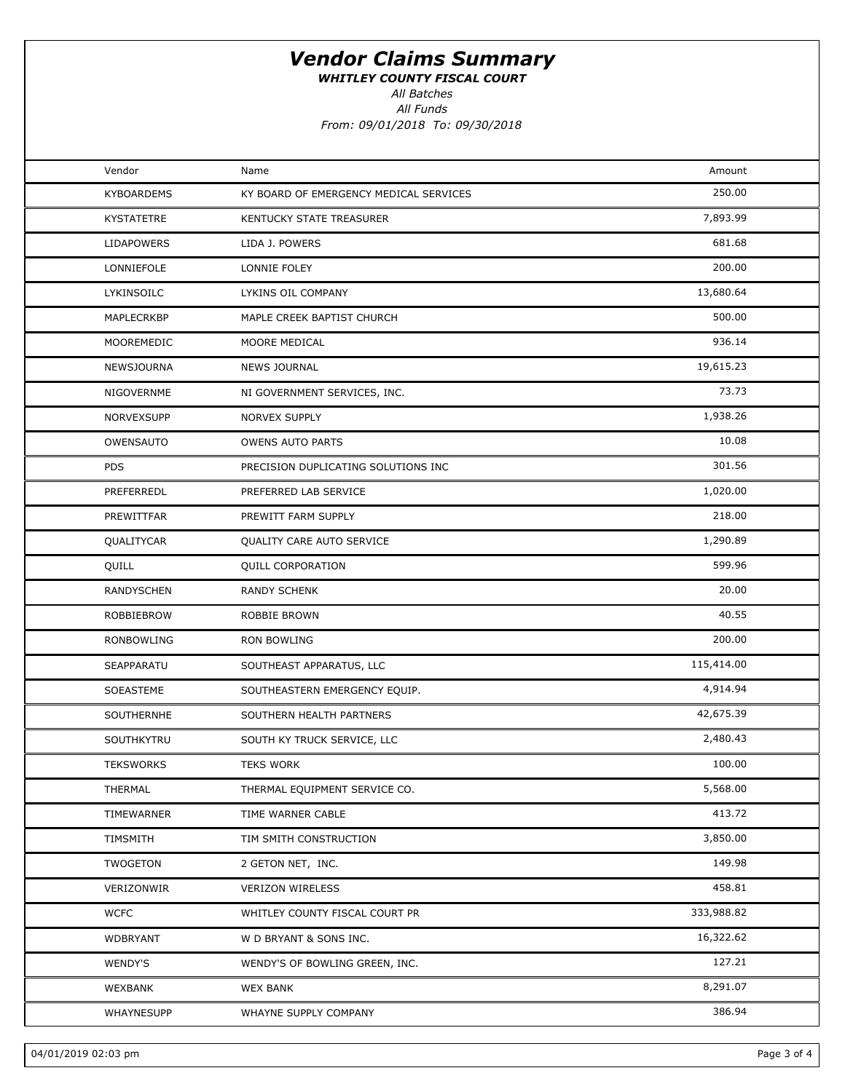WHITLEY COUNTY FISCAL COURT

All Batches

All Funds From: 09/01/2018 To: 09/30/2018

| Vendor            | Name                                   | Amount     |  |
|-------------------|----------------------------------------|------------|--|
| <b>KYBOARDEMS</b> | KY BOARD OF EMERGENCY MEDICAL SERVICES | 250.00     |  |
| KYSTATETRE        | KENTUCKY STATE TREASURER               | 7,893.99   |  |
| <b>LIDAPOWERS</b> | LIDA J. POWERS                         | 681.68     |  |
| LONNIEFOLE        | LONNIE FOLEY                           | 200.00     |  |
| LYKINSOILC        | LYKINS OIL COMPANY                     | 13,680.64  |  |
| MAPLECRKBP        | MAPLE CREEK BAPTIST CHURCH             | 500.00     |  |
| MOOREMEDIC        | MOORE MEDICAL                          | 936.14     |  |
| NEWSJOURNA        | <b>NEWS JOURNAL</b>                    | 19,615.23  |  |
| NIGOVERNME        | NI GOVERNMENT SERVICES, INC.           | 73.73      |  |
| NORVEXSUPP        | <b>NORVEX SUPPLY</b>                   | 1,938.26   |  |
| OWENSAUTO         | <b>OWENS AUTO PARTS</b>                | 10.08      |  |
| <b>PDS</b>        | PRECISION DUPLICATING SOLUTIONS INC    | 301.56     |  |
| PREFERREDL        | PREFERRED LAB SERVICE                  | 1,020.00   |  |
| PREWITTFAR        | PREWITT FARM SUPPLY                    | 218.00     |  |
| QUALITYCAR        | QUALITY CARE AUTO SERVICE              | 1,290.89   |  |
| QUILL             | QUILL CORPORATION                      | 599.96     |  |
| RANDYSCHEN        | <b>RANDY SCHENK</b>                    | 20.00      |  |
| ROBBIEBROW        | ROBBIE BROWN                           | 40.55      |  |
| RONBOWLING        | RON BOWLING                            | 200.00     |  |
| SEAPPARATU        | SOUTHEAST APPARATUS, LLC               | 115,414.00 |  |
| SOEASTEME         | SOUTHEASTERN EMERGENCY EQUIP.          | 4,914.94   |  |
| SOUTHERNHE        | SOUTHERN HEALTH PARTNERS               | 42,675.39  |  |
| SOUTHKYTRU        | SOUTH KY TRUCK SERVICE, LLC            | 2,480.43   |  |
| <b>TEKSWORKS</b>  | <b>TEKS WORK</b>                       | 100.00     |  |
| THERMAL           | THERMAL EQUIPMENT SERVICE CO.          | 5,568.00   |  |
| TIMEWARNER        | TIME WARNER CABLE                      | 413.72     |  |
| TIMSMITH          | TIM SMITH CONSTRUCTION                 | 3,850.00   |  |
| TWOGETON          | 2 GETON NET, INC.                      | 149.98     |  |
| VERIZONWIR        | <b>VERIZON WIRELESS</b>                | 458.81     |  |
| <b>WCFC</b>       | WHITLEY COUNTY FISCAL COURT PR         | 333,988.82 |  |
| <b>WDBRYANT</b>   | W D BRYANT & SONS INC.                 | 16,322.62  |  |
| <b>WENDY'S</b>    | WENDY'S OF BOWLING GREEN, INC.         | 127.21     |  |
| WEXBANK           | <b>WEX BANK</b>                        | 8,291.07   |  |
| WHAYNESUPP        | WHAYNE SUPPLY COMPANY                  | 386.94     |  |